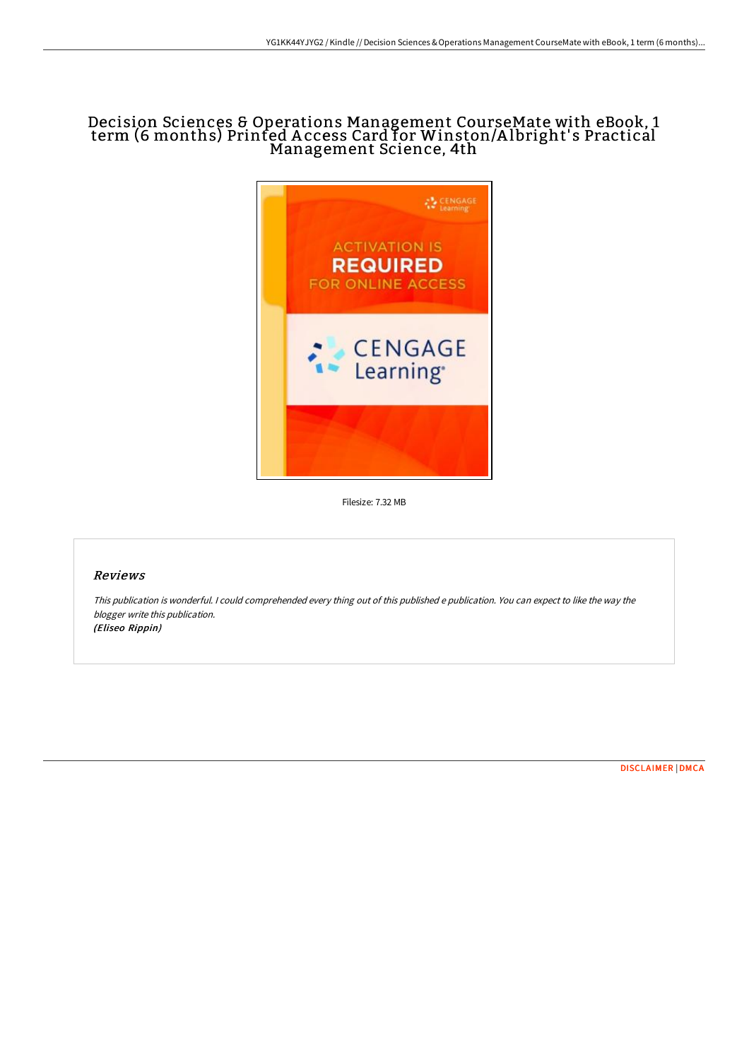# Decision Sciences & Operations Management CourseMate with eBook, 1 term (6 months) Printed A ccess Card for Winston/A lbright' s Practical Management Science, 4th



Filesize: 7.32 MB

# Reviews

This publication is wonderful. <sup>I</sup> could comprehended every thing out of this published <sup>e</sup> publication. You can expect to like the way the blogger write this publication. (Eliseo Rippin)

[DISCLAIMER](http://techno-pub.tech/disclaimer.html) | [DMCA](http://techno-pub.tech/dmca.html)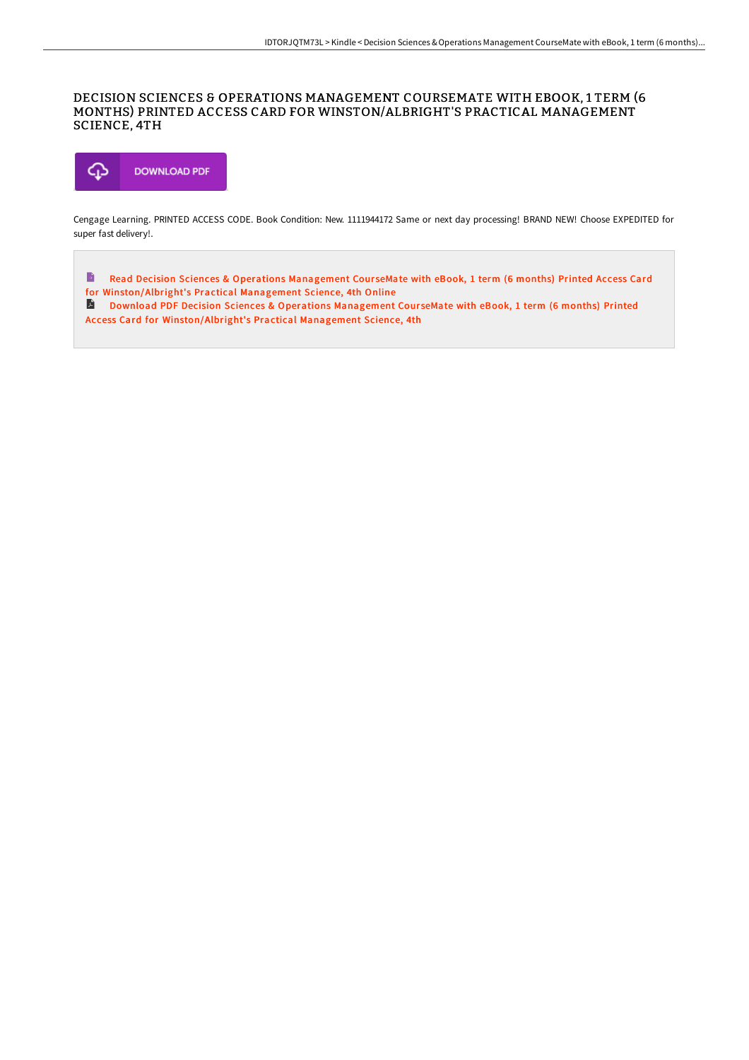## DECISION SCIENCES & OPERATIONS MANAGEMENT COURSEMATE WITH EBOOK, 1 TERM (6 MONTHS) PRINTED ACCESS CARD FOR WINSTON/ALBRIGHT'S PRACTICAL MANAGEMENT SCIENCE, 4TH



Cengage Learning. PRINTED ACCESS CODE. Book Condition: New. 1111944172 Same or next day processing! BRAND NEW! Choose EXPEDITED for super fast delivery!.

 $\Rightarrow$ Read Decision Sciences & Operations Management CourseMate with eBook, 1 term (6 months) Printed Access Card for [Winston/Albright's](http://techno-pub.tech/decision-sciences-amp-operations-management-cour.html) Practical Management Science, 4th Online

Download PDF Decision Sciences & Operations Management CourseMate with eBook, 1 term (6 months) Printed Access Card for [Winston/Albright's](http://techno-pub.tech/decision-sciences-amp-operations-management-cour.html) Practical Management Science, 4th